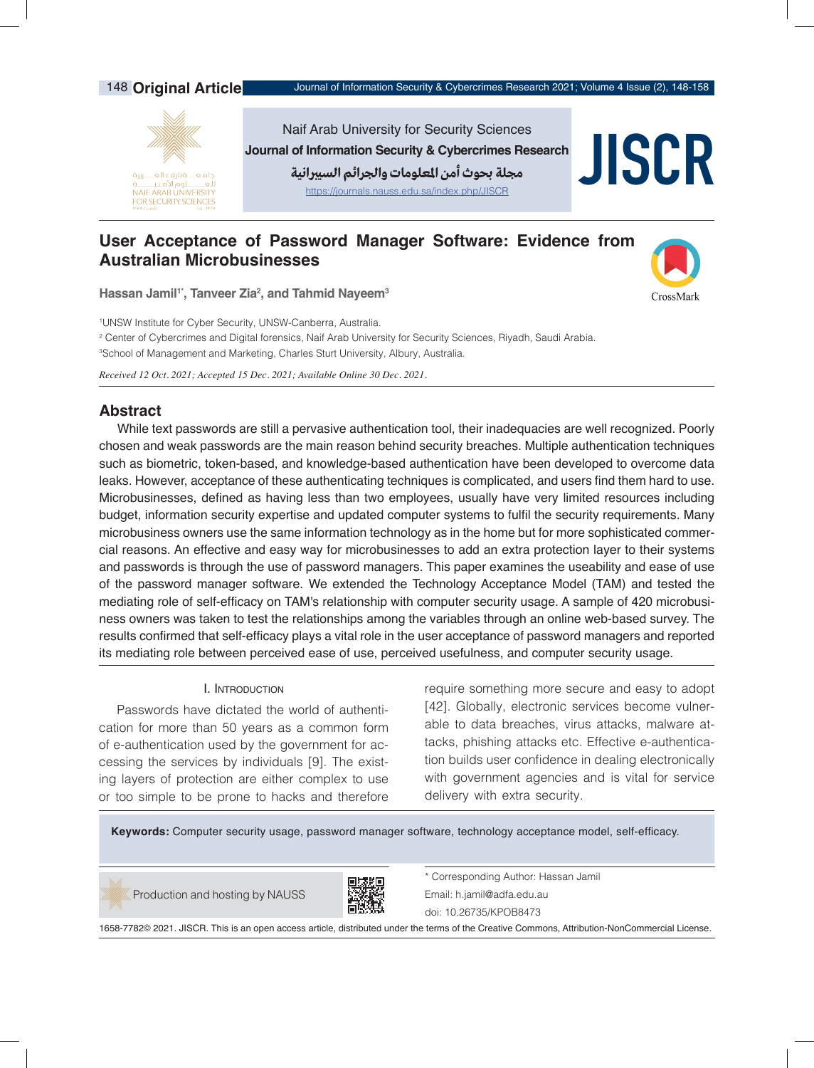

**Hassan Jamil1\*, Tanveer Zia2 , and Tahmid Nayeem3**

1 UNSW Institute for Cyber Security, UNSW-Canberra, Australia.

2 Center of Cybercrimes and Digital forensics, Naif Arab University for Security Sciences, Riyadh, Saudi Arabia.

3 School of Management and Marketing, Charles Sturt University, Albury, Australia.

*Received 12 Oct. 2021; Accepted 15 Dec. 2021; Available Online 30 Dec. 2021.*

# **Abstract**

While text passwords are still a pervasive authentication tool, their inadequacies are well recognized. Poorly chosen and weak passwords are the main reason behind security breaches. Multiple authentication techniques such as biometric, token-based, and knowledge-based authentication have been developed to overcome data leaks. However, acceptance of these authenticating techniques is complicated, and users find them hard to use. Microbusinesses, defined as having less than two employees, usually have very limited resources including budget, information security expertise and updated computer systems to fulfil the security requirements. Many microbusiness owners use the same information technology as in the home but for more sophisticated commercial reasons. An effective and easy way for microbusinesses to add an extra protection layer to their systems and passwords is through the use of password managers. This paper examines the useability and ease of use of the password manager software. We extended the Technology Acceptance Model (TAM) and tested the mediating role of self-efficacy on TAM's relationship with computer security usage. A sample of 420 microbusiness owners was taken to test the relationships among the variables through an online web-based survey. The results confirmed that self-efficacy plays a vital role in the user acceptance of password managers and reported its mediating role between perceived ease of use, perceived usefulness, and computer security usage.

# I. Introduction

Passwords have dictated the world of authentication for more than 50 years as a common form of e-authentication used by the government for accessing the services by individuals [9]. The existing layers of protection are either complex to use or too simple to be prone to hacks and therefore

require something more secure and easy to adopt [42]. Globally, electronic services become vulnerable to data breaches, virus attacks, malware attacks, phishing attacks etc. Effective e-authentication builds user confidence in dealing electronically with government agencies and is vital for service delivery with extra security.

CrossMark

**Keywords:** Computer security usage, password manager software, technology acceptance model, self-efficacy.

Production and hosting by NAUSS



\* Corresponding Author: Hassan Jamil Email: h.jamil@adfa.edu.au doi[: 10.26735/KPOB8473](https://doi.org/10.26735/KPOB8473)

1658-7782© 2021. JISCR. This is an open access article, distributed under the terms of the Creative Commons, Attribution-NonCommercial License.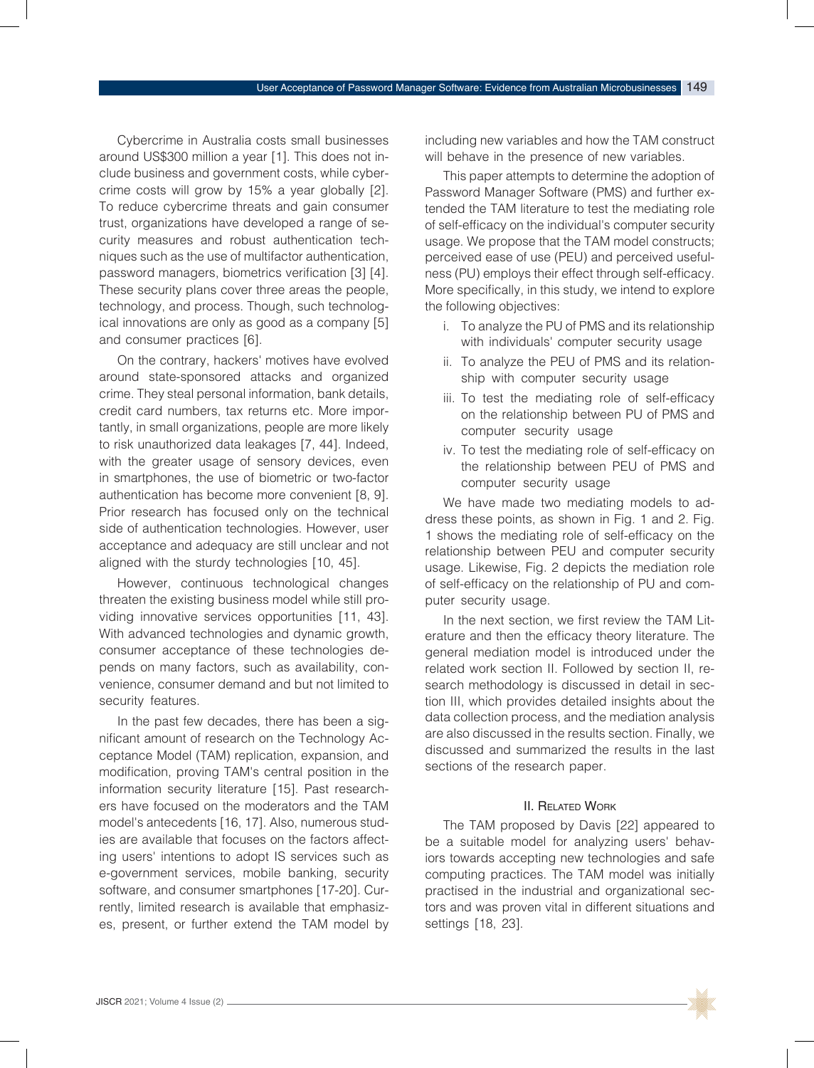Cybercrime in Australia costs small businesses around US\$300 million a year [1]. This does not include business and government costs, while cybercrime costs will grow by 15% a year globally [2]. To reduce cybercrime threats and gain consumer trust, organizations have developed a range of security measures and robust authentication techniques such as the use of multifactor authentication, password managers, biometrics verification [3] [4]. These security plans cover three areas the people, technology, and process. Though, such technological innovations are only as good as a company [5] and consumer practices [6].

On the contrary, hackers' motives have evolved around state-sponsored attacks and organized crime. They steal personal information, bank details, credit card numbers, tax returns etc. More importantly, in small organizations, people are more likely to risk unauthorized data leakages [7, 44]. Indeed, with the greater usage of sensory devices, even in smartphones, the use of biometric or two-factor authentication has become more convenient [8, 9]. Prior research has focused only on the technical side of authentication technologies. However, user acceptance and adequacy are still unclear and not aligned with the sturdy technologies [10, 45].

However, continuous technological changes threaten the existing business model while still providing innovative services opportunities [11, 43]. With advanced technologies and dynamic growth, consumer acceptance of these technologies depends on many factors, such as availability, convenience, consumer demand and but not limited to security features.

In the past few decades, there has been a significant amount of research on the Technology Acceptance Model (TAM) replication, expansion, and modification, proving TAM's central position in the information security literature [15]. Past researchers have focused on the moderators and the TAM model's antecedents [16, 17]. Also, numerous studies are available that focuses on the factors affecting users' intentions to adopt IS services such as e-government services, mobile banking, security software, and consumer smartphones [17-20]. Currently, limited research is available that emphasizes, present, or further extend the TAM model by including new variables and how the TAM construct will behave in the presence of new variables.

This paper attempts to determine the adoption of Password Manager Software (PMS) and further extended the TAM literature to test the mediating role of self-efficacy on the individual's computer security usage. We propose that the TAM model constructs; perceived ease of use (PEU) and perceived usefulness (PU) employs their effect through self-efficacy. More specifically, in this study, we intend to explore the following objectives:

- i. To analyze the PU of PMS and its relationship with individuals' computer security usage
- ii. To analyze the PEU of PMS and its relationship with computer security usage
- iii. To test the mediating role of self-efficacy on the relationship between PU of PMS and computer security usage
- iv. To test the mediating role of self-efficacy on the relationship between PEU of PMS and computer security usage

We have made two mediating models to address these points, as shown in Fig. 1 and 2. Fig. 1 shows the mediating role of self-efficacy on the relationship between PEU and computer security usage. Likewise, Fig. 2 depicts the mediation role of self-efficacy on the relationship of PU and computer security usage.

In the next section, we first review the TAM Literature and then the efficacy theory literature. The general mediation model is introduced under the related work section II. Followed by section II, research methodology is discussed in detail in section III, which provides detailed insights about the data collection process, and the mediation analysis are also discussed in the results section. Finally, we discussed and summarized the results in the last sections of the research paper.

# II. Related Work

The TAM proposed by Davis [22] appeared to be a suitable model for analyzing users' behaviors towards accepting new technologies and safe computing practices. The TAM model was initially practised in the industrial and organizational sectors and was proven vital in different situations and settings [18, 23].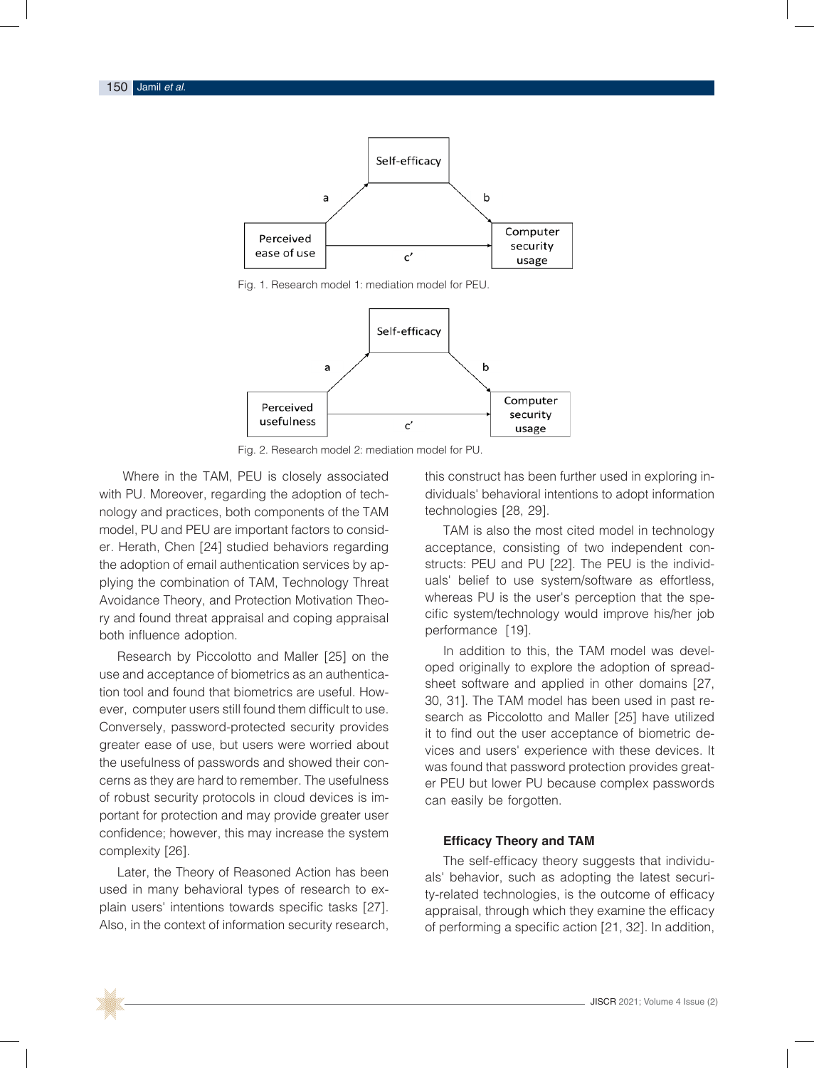

Fig. 1. Research model 1: mediation model for PEU.



**Fig. 2.** Research model 2: mediation model for PU Fig. 2. Research model 2: mediation model for PU.

 Where in the TAM, PEU is closely associated with PU. Moreover, regarding the adoption of technology and practices, both components of the TAM technologies [28, 29]. model, PU and PEU are important factors to consid-<br>TAM is also the most cited model in technology er. Herath, Chen [24] studied behaviors regarding acceptance, consisted the results in the results in the results in the results in the results in the results in the results in the results in the results in the results in the adoption of email authentication services by ap-<br>
provided in the mediation and the mediation provided in the mediation of the results of the results of the me plying the combination of TAM, Technology Threat and uals' belief to use Avoidance Theory, and Protection Motivation Theo-<br>The Theory Acception that the spery and found threat appraisal and coping appraisal compution system/technology would improve his/her job both influence adoption. The contraction of the performance [19]. er. Herath, Chen [24] studied behaviors regarding acceptance, consisting of two independent conthe adoption of email authentication services by ap-<br>the adoption of email authentication services by ap-<br>structs: PEU and PU [22]. The PEU is the individ-

Research by Piccolotto and Maller [25] on the tion tool and found that biometrics are useful. How-<br>The TAM readel both home protection model is a Search as incredicted security provides<br>Conversely, password-protected security provides<br>it to find out the user accoptance of biomer greater ease of use, but users were worried about the usefulness of passwords and showed their conportant for protection and may provide greater user confidence; however, this may increase the system **Efficery Theory and TAM** complexity [26]. behinderice, newever, and may mercede the oyotem  $28$ Post city consistent model in the field of technology acceptance, consists of two independent constructs: Perceived Ease corindence, nowever, this may increase the system **Efficacy Theory and TAM** 

used in many behavioral types of research to explain users' intentions towards specific tasks [27]. Also, in the context of information security research,

osely associated bis construct has been further used in exploring individuals' behavioral intentions to adopt information technologies [28, 29].

> TAM is also the most cited model in technology Threat all uals' belief to use system/software as effortless, whereas PU is the user's perception that the spe-<sub>2</sub> raisal buttic system/technology would improve his/her job performance [19].

use and acceptance of biometrics as an authentica-<br>check editions and english at her demonstration for ever, computer users still found them difficult to use.<br>Correct as Piecelette and Maller [25] boye utilized cerns as they are hard to remember. The usefulness er PFU but lower PU because complex passwords of robust security protocols in cloud devices is im-<br>can easily be forgotten. Research by Piccolotto and Maller [25] on the land in addition to this, the TAM model was devel-Hesearch by Piccolotic and Maller [25] on the<br>Oped originally to explore the adoption of spreaduse and acceptance of biometrics as an admentica-<br>tion tool and found that biometries are useful. How sheet software and applied in other domains [27, tion tool and found that biometrics are useful. How-<br>components of the TAM model has been used in past recomputer as because and it difficult to about the search as Piccolotto and Maller [25] have utilized conversely, password protoctod socurity provides conversely, password-protected security provides it to find out the user acceptance of biometric degreater ease of use, but users were worrled about vices and users' experience with these devices. It the usefulness of passwords and showed their con-<br>was found that passwords and showed their concerns as they are hard to remember. The usefulness er PEU but lower PU because complex passwords can easily be forgotten.

### **Efficacy Theory and TAM**

Later, the Theory of Reasoned Action has been the construction of the perceived was medicine to use of use of use of use of use of use of use of use of use of use of use of use of use of use securi-Complexity [26].<br>The self-efficacy theory suggests that individuals' behavior, such as adopting the latest security-related technologies, is the outcome of efficacy appraisal, through which they examine the efficacy of performing a specific action [21, 32]. In addition,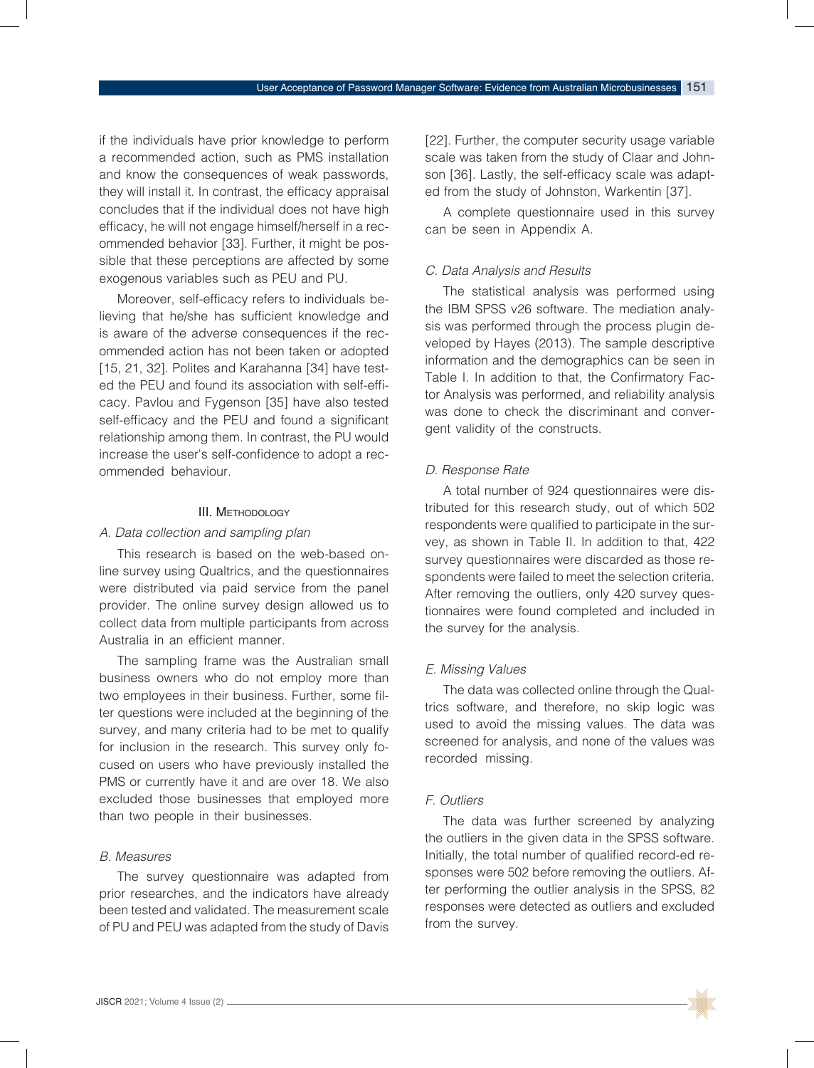if the individuals have prior knowledge to perform a recommended action, such as PMS installation and know the consequences of weak passwords, they will install it. In contrast, the efficacy appraisal concludes that if the individual does not have high efficacy, he will not engage himself/herself in a recommended behavior [33]. Further, it might be possible that these perceptions are affected by some exogenous variables such as PEU and PU.

Moreover, self-efficacy refers to individuals believing that he/she has sufficient knowledge and is aware of the adverse consequences if the recommended action has not been taken or adopted [15, 21, 32]. Polites and Karahanna [34] have tested the PEU and found its association with self-efficacy. Pavlou and Fygenson [35] have also tested self-efficacy and the PEU and found a significant relationship among them. In contrast, the PU would increase the user's self-confidence to adopt a recommended behaviour.

# III. Methodology

### *A. Data collection and sampling plan*

This research is based on the web-based online survey using Qualtrics, and the questionnaires were distributed via paid service from the panel provider. The online survey design allowed us to collect data from multiple participants from across Australia in an efficient manner.

The sampling frame was the Australian small business owners who do not employ more than two employees in their business. Further, some filter questions were included at the beginning of the survey, and many criteria had to be met to qualify for inclusion in the research. This survey only focused on users who have previously installed the PMS or currently have it and are over 18. We also excluded those businesses that employed more than two people in their businesses.

#### *B. Measures*

The survey questionnaire was adapted from prior researches, and the indicators have already been tested and validated. The measurement scale of PU and PEU was adapted from the study of Davis [22]. Further, the computer security usage variable scale was taken from the study of Claar and Johnson [36]. Lastly, the self-efficacy scale was adapted from the study of Johnston, Warkentin [37].

A complete questionnaire used in this survey can be seen in Appendix A.

#### *C. Data Analysis and Results*

The statistical analysis was performed using the IBM SPSS v26 software. The mediation analysis was performed through the process plugin developed by Hayes (2013). The sample descriptive information and the demographics can be seen in Table I. In addition to that, the Confirmatory Factor Analysis was performed, and reliability analysis was done to check the discriminant and convergent validity of the constructs.

### *D. Response Rate*

A total number of 924 questionnaires were distributed for this research study, out of which 502 respondents were qualified to participate in the survey, as shown in Table II. In addition to that, 422 survey questionnaires were discarded as those respondents were failed to meet the selection criteria. After removing the outliers, only 420 survey questionnaires were found completed and included in the survey for the analysis.

#### *E. Missing Values*

The data was collected online through the Qualtrics software, and therefore, no skip logic was used to avoid the missing values. The data was screened for analysis, and none of the values was recorded missing.

#### *F. Outliers*

The data was further screened by analyzing the outliers in the given data in the SPSS software. Initially, the total number of qualified record-ed responses were 502 before removing the outliers. After performing the outlier analysis in the SPSS, 82 responses were detected as outliers and excluded from the survey.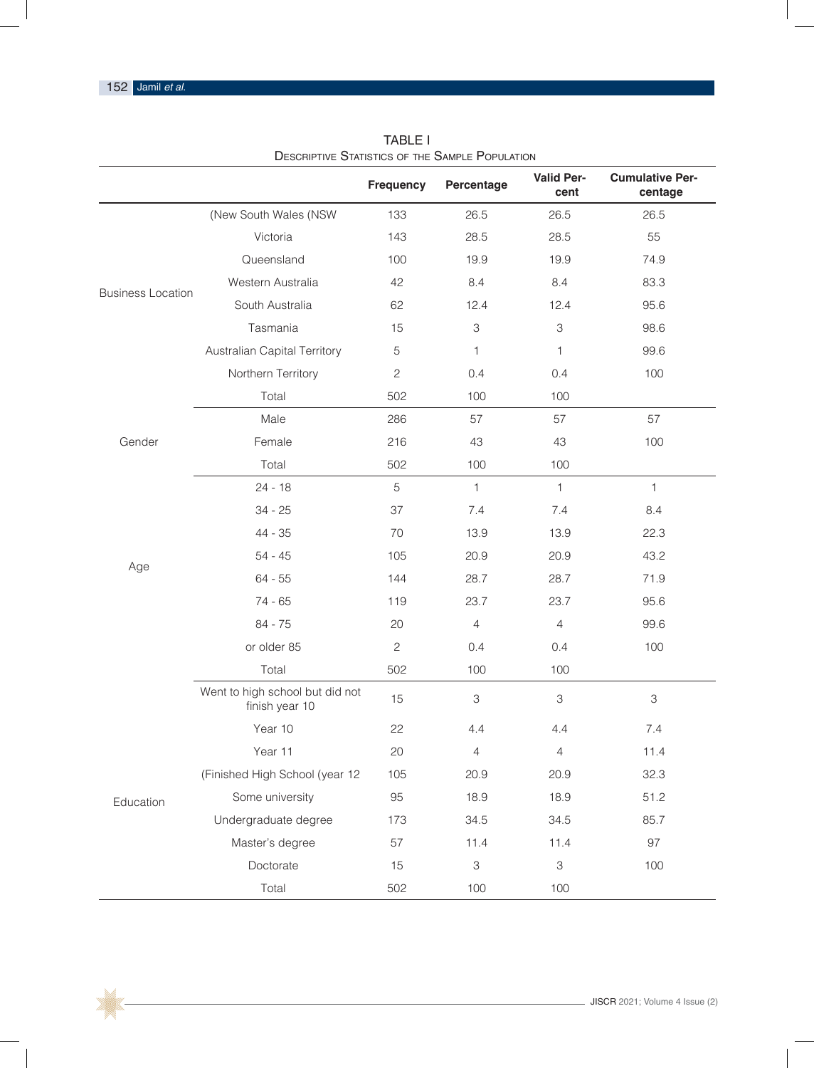$\Box$ 

|                          |                                                   | <b>Frequency</b> | Percentage     | <b>Valid Per-</b><br>cent | <b>Cumulative Per-</b><br>centage |
|--------------------------|---------------------------------------------------|------------------|----------------|---------------------------|-----------------------------------|
|                          | (New South Wales (NSW                             | 133              | 26.5           | 26.5                      | 26.5                              |
|                          | Victoria                                          | 143              | 28.5           | 28.5                      | 55                                |
|                          | Queensland                                        | 100              | 19.9           | 19.9                      | 74.9                              |
| <b>Business Location</b> | Western Australia                                 | 42               | 8.4            | 8.4                       | 83.3                              |
|                          | South Australia                                   | 62               | 12.4           | 12.4                      | 95.6                              |
|                          | Tasmania                                          | 15               | 3              | $\ensuremath{\mathsf{3}}$ | 98.6                              |
|                          | Australian Capital Territory                      | 5                | 1              | 1                         | 99.6                              |
|                          | Northern Territory                                | $\overline{c}$   | 0.4            | 0.4                       | 100                               |
|                          | Total                                             | 502              | 100            | 100                       |                                   |
|                          | Male                                              | 286              | 57             | 57                        | 57                                |
| Gender                   | Female                                            | 216              | 43             | 43                        | 100                               |
|                          | Total                                             | 502              | 100            | 100                       |                                   |
|                          | $24 - 18$                                         | 5                | $\mathbf{1}$   | $\mathbf{1}$              | $\mathbf{1}$                      |
|                          | $34 - 25$                                         | 37               | 7.4            | 7.4                       | 8.4                               |
|                          | 44 - 35                                           | 70               | 13.9           | 13.9                      | 22.3                              |
| Age                      | $54 - 45$                                         | 105              | 20.9           | 20.9                      | 43.2                              |
|                          | $64 - 55$                                         | 144              | 28.7           | 28.7                      | 71.9                              |
|                          | $74 - 65$                                         | 119              | 23.7           | 23.7                      | 95.6                              |
|                          | 84 - 75                                           | 20               | $\overline{4}$ | $\overline{4}$            | 99.6                              |
|                          | or older 85                                       | $\mathbf{2}$     | 0.4            | 0.4                       | 100                               |
|                          | Total                                             | 502              | 100            | 100                       |                                   |
|                          | Went to high school but did not<br>finish year 10 | 15               | 3              | $\ensuremath{\mathsf{3}}$ | $\,3$                             |
|                          | Year 10                                           | 22               | 4.4            | 4.4                       | 7.4                               |
|                          | Year 11                                           | 20               | $\overline{4}$ | $\overline{4}$            | 11.4                              |
| Education                | (Finished High School (year 12                    | 105              | 20.9           | 20.9                      | 32.3                              |
|                          | Some university                                   | 95               | 18.9           | 18.9                      | 51.2                              |
|                          | Undergraduate degree                              | 173              | 34.5           | 34.5                      | 85.7                              |
|                          | Master's degree                                   | 57               | 11.4           | 11.4                      | 97                                |
|                          | Doctorate                                         | 15               | 3              | $\ensuremath{\mathsf{3}}$ | 100                               |
|                          | Total                                             | 502              | 100            | 100                       |                                   |

TABLE I Descriptive Statistics of the Sample Population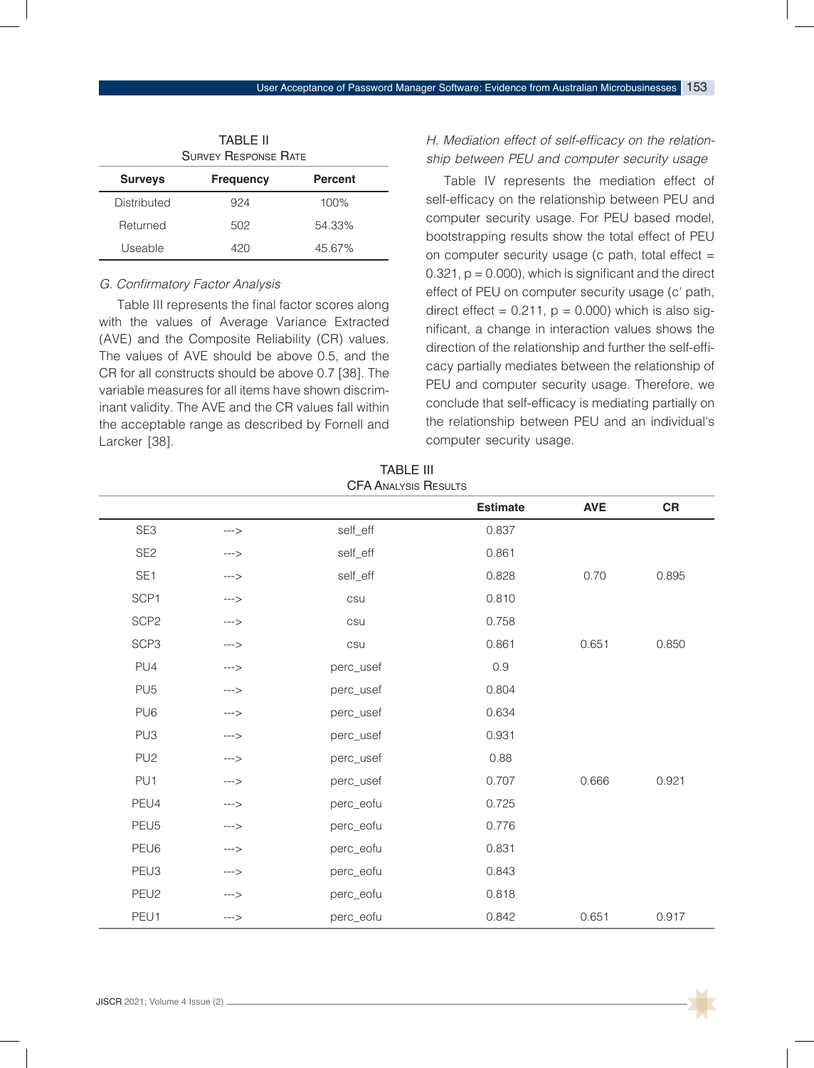|                | <b>SURVEY RESPONSE RATE</b> |                |
|----------------|-----------------------------|----------------|
| <b>Surveys</b> | <b>Frequency</b>            | <b>Percent</b> |
| Distributed    | 924                         | 100%           |
| Returned       | 502                         | 54.33%         |
| Useable        | 420                         | 45.67%         |

# G. Confirmatory Factor Analysis

Table III represents the final factor scores along with the values of Average Variance Extracted (AVE) and the Composite Reliability (CR) values. The values of AVE should be above 0.5, and the CR for all constructs should be above 0.7 [38]. The variable measures for all items have shown discriminant validity. The AVE and the CR values fall within the acceptable range as described by Fornell and Larcker [38].

# *H.* Mediation effect of self-efficacy on the relationship between PEU and computer security usage

Table IV represents the mediation effect of self-efficacy on the relationship between PEU and computer security usage. For PEU based model, bootstrapping results show the total effect of PEU on computer security usage (c path, total effect  $=$  $0.321$ ,  $p = 0.000$ , which is significant and the direct effect of PEU on computer security usage (c' path, direct effect =  $0.211$ ,  $p = 0.000$ ) which is also significant, a change in interaction values shows the direction of the relationship and further the self-efficacy partially mediates between the relationship of PEU and computer security usage. Therefore, we conclude that self-efficacy is mediating partially on the relationship between PEU and an individual's computer security usage.

|                  |               |           | <b>Estimate</b> | <b>AVE</b> | CR    |
|------------------|---------------|-----------|-----------------|------------|-------|
| SE3              | --->          | self_eff  | 0.837           |            |       |
| SE <sub>2</sub>  | --->          | self_eff  | 0.861           |            |       |
| SE <sub>1</sub>  | --->          | self_eff  | 0.828           | 0.70       | 0.895 |
| SCP1             | $\rightarrow$ | csu       | 0.810           |            |       |
| SCP <sub>2</sub> | --->          | csu       | 0.758           |            |       |
| SCP <sub>3</sub> | --->          | csu       | 0.861           | 0.651      | 0.850 |
| PU4              | --->          | perc_usef | 0.9             |            |       |
| PU <sub>5</sub>  | $--&$         | perc_usef | 0.804           |            |       |
| PU <sub>6</sub>  | --->          | perc_usef | 0.634           |            |       |
| PU <sub>3</sub>  | --->          | perc_usef | 0.931           |            |       |
| PU <sub>2</sub>  | --->          | perc_usef | 0.88            |            |       |
| PU1              | --->          | perc_usef | 0.707           | 0.666      | 0.921 |
| PEU4             | $--&$         | perc_eofu | 0.725           |            |       |
| PEU <sub>5</sub> | --->          | perc_eofu | 0.776           |            |       |
| PEU6             | --->          | perc_eofu | 0.831           |            |       |
| PEU3             | $\rightarrow$ | perc_eofu | 0.843           |            |       |
| PEU2             | $--&$         | perc_eofu | 0.818           |            |       |
| PEU1             | $--&$         | perc_eofu | 0.842           | 0.651      | 0.917 |

TABLE III CFA Analysis Results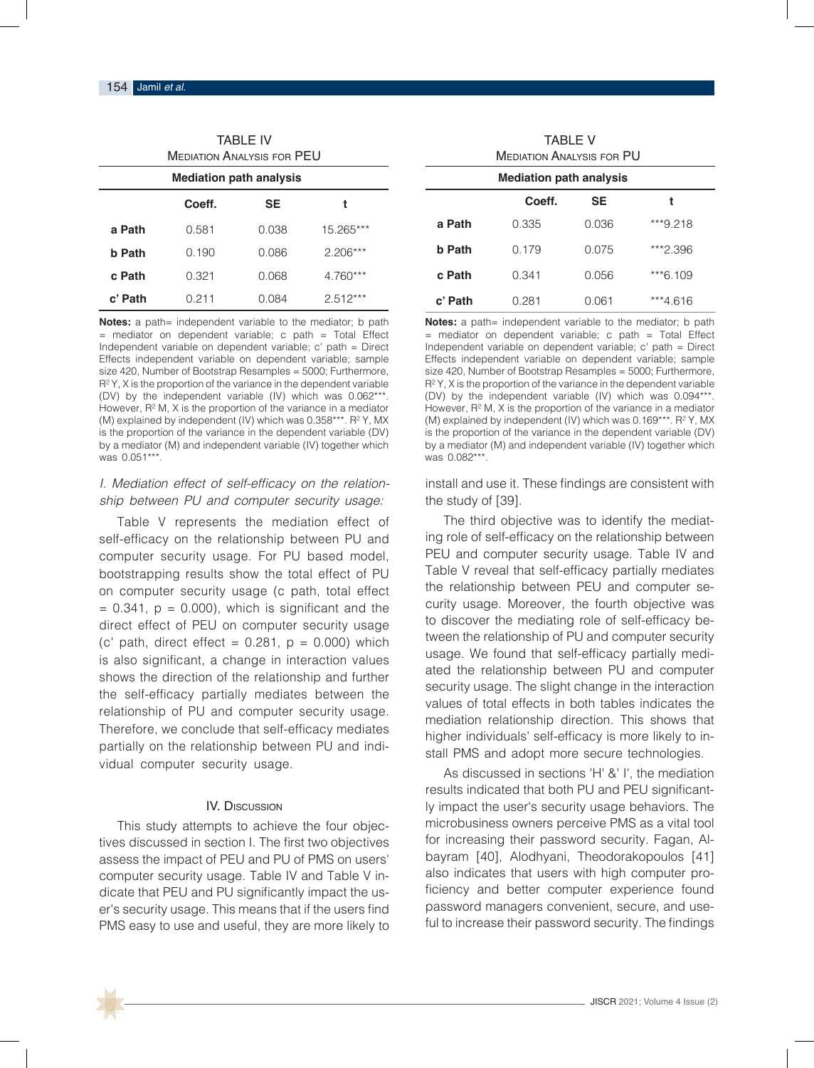| <b>TABLE IV</b><br>MEDIATION ANALYSIS FOR PEU |       |       |            |  |  |  |  |  |
|-----------------------------------------------|-------|-------|------------|--|--|--|--|--|
| <b>Mediation path analysis</b>                |       |       |            |  |  |  |  |  |
| Coeff.<br>SE<br>t                             |       |       |            |  |  |  |  |  |
| a Path                                        | 0.581 | 0.038 | 15.265***  |  |  |  |  |  |
| b Path                                        | 0.190 | 0.086 | $2.206***$ |  |  |  |  |  |
| c Path                                        | 0.321 | 0.068 | $4.760***$ |  |  |  |  |  |
| c' Path                                       | 0.211 | 0.084 | $2.512***$ |  |  |  |  |  |

**Notes:** a path= independent variable to the mediator; b path  $=$  mediator on dependent variable; c path  $=$  Total Effect Independent variable on dependent variable; c' path = Direct Effects independent variable on dependent variable; sample size 420, Number of Bootstrap Resamples = 5000; Furthermore, R² Y, X is the proportion of the variance in the dependent variable (DV) by the independent variable (IV) which was 0.062\*\*\*. However, R² M, X is the proportion of the variance in a mediator (M) explained by independent (IV) which was 0.358\*\*\*. R² Y, MX is the proportion of the variance in the dependent variable (DV) by a mediator (M) and independent variable (IV) together which was 0.051\*\*\*.

# *I.* Mediation effect of self-efficacy on the relationship between PU and computer security usage:

Table V represents the mediation effect of self-efficacy on the relationship between PU and computer security usage. For PU based model, bootstrapping results show the total effect of PU on computer security usage (c path, total effect  $= 0.341$ ,  $p = 0.000$ , which is significant and the direct effect of PEU on computer security usage (c' path, direct effect =  $0.281$ ,  $p = 0.000$ ) which is also significant, a change in interaction values shows the direction of the relationship and further the self-efficacy partially mediates between the relationship of PU and computer security usage. Therefore, we conclude that self-efficacy mediates partially on the relationship between PU and individual computer security usage.

#### IV. Discussion

This study attempts to achieve the four objectives discussed in section I. The first two objectives assess the impact of PEU and PU of PMS on users' computer security usage. Table IV and Table V indicate that PEU and PU significantly impact the user's security usage. This means that if the users find PMS easy to use and useful, they are more likely to

| TARI F V<br><b>MEDIATION ANALYSIS FOR PU</b> |       |       |          |  |  |  |  |
|----------------------------------------------|-------|-------|----------|--|--|--|--|
| <b>Mediation path analysis</b>               |       |       |          |  |  |  |  |
| Coeff.<br><b>SE</b><br>t                     |       |       |          |  |  |  |  |
| a Path                                       | 0.335 | 0.036 | ***9.218 |  |  |  |  |
| <b>b</b> Path                                | 0.179 | 0.075 | ***2.396 |  |  |  |  |
| c Path                                       | 0.341 | 0.056 | ***6.109 |  |  |  |  |
| c' Path                                      | 0.281 | 0.061 | ***4.616 |  |  |  |  |

**Notes:** a path= independent variable to the mediator; b path  $=$  mediator on dependent variable; c path  $=$  Total Effect Independent variable on dependent variable; c' path = Direct Effects independent variable on dependent variable; sample size 420, Number of Bootstrap Resamples = 5000; Furthermore, R² Y, X is the proportion of the variance in the dependent variable (DV) by the independent variable (IV) which was 0.094\*\*\*. However, R² M, X is the proportion of the variance in a mediator (M) explained by independent (IV) which was 0.169\*\*\*. R² Y, MX is the proportion of the variance in the dependent variable (DV) by a mediator (M) and independent variable (IV) together which was 0.082\*\*\*.

install and use it. These findings are consistent with the study of [39].

The third objective was to identify the mediating role of self-efficacy on the relationship between PEU and computer security usage. Table IV and Table V reveal that self-efficacy partially mediates the relationship between PEU and computer security usage. Moreover, the fourth objective was to discover the mediating role of self-efficacy between the relationship of PU and computer security usage. We found that self-efficacy partially mediated the relationship between PU and computer security usage. The slight change in the interaction values of total effects in both tables indicates the mediation relationship direction. This shows that higher individuals' self-efficacy is more likely to install PMS and adopt more secure technologies.

As discussed in sections 'H' &' I', the mediation results indicated that both PU and PEU significantly impact the user's security usage behaviors. The microbusiness owners perceive PMS as a vital tool for increasing their password security. Fagan, Albayram [40], Alodhyani, Theodorakopoulos [41] also indicates that users with high computer proficiency and better computer experience found password managers convenient, secure, and useful to increase their password security. The findings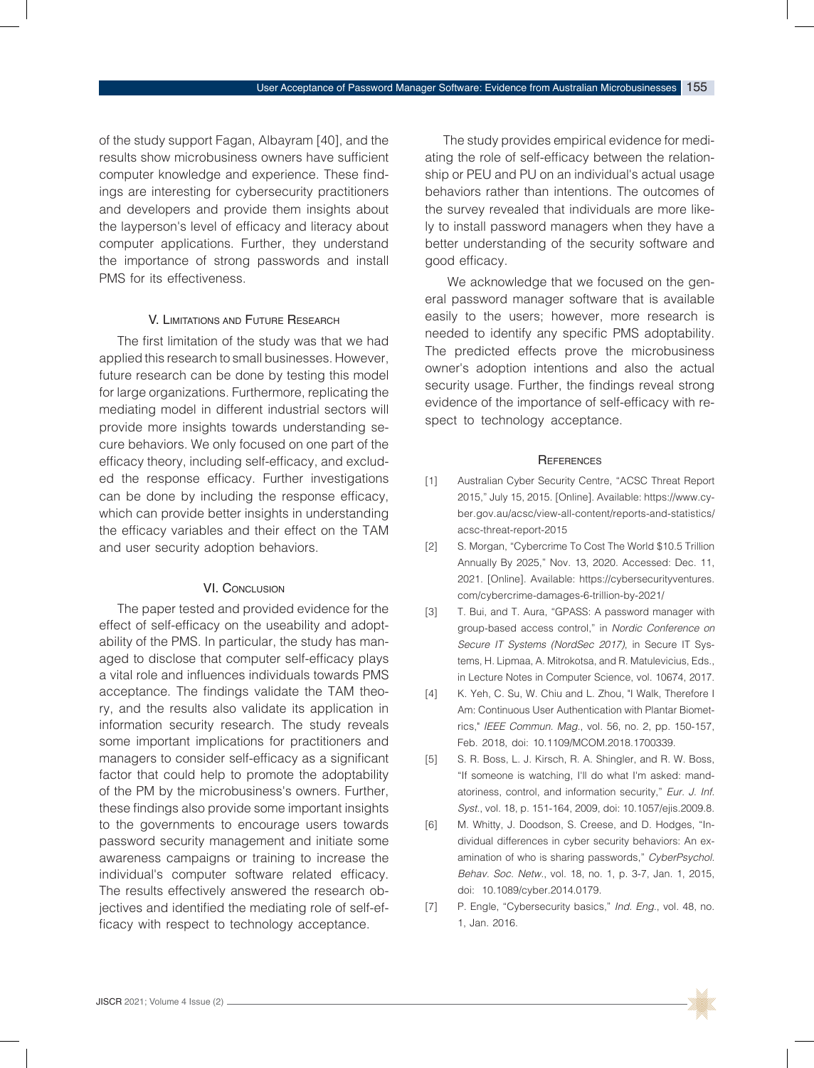of the study support Fagan, Albayram [40], and the results show microbusiness owners have sufficient computer knowledge and experience. These findings are interesting for cybersecurity practitioners and developers and provide them insights about the layperson's level of efficacy and literacy about computer applications. Further, they understand the importance of strong passwords and install PMS for its effectiveness.

### V. Limitations and Future Research

The first limitation of the study was that we had applied this research to small businesses. However, future research can be done by testing this model for large organizations. Furthermore, replicating the mediating model in different industrial sectors will provide more insights towards understanding secure behaviors. We only focused on one part of the efficacy theory, including self-efficacy, and excluded the response efficacy. Further investigations can be done by including the response efficacy, which can provide better insights in understanding the efficacy variables and their effect on the TAM and user security adoption behaviors.

#### **VI. CONCLUSION**

The paper tested and provided evidence for the effect of self-efficacy on the useability and adoptability of the PMS. In particular, the study has managed to disclose that computer self-efficacy plays a vital role and influences individuals towards PMS acceptance. The findings validate the TAM theory, and the results also validate its application in information security research. The study reveals some important implications for practitioners and managers to consider self-efficacy as a significant factor that could help to promote the adoptability of the PM by the microbusiness's owners. Further, these findings also provide some important insights to the governments to encourage users towards password security management and initiate some awareness campaigns or training to increase the individual's computer software related efficacy. The results effectively answered the research objectives and identified the mediating role of self-efficacy with respect to technology acceptance.

The study provides empirical evidence for mediating the role of self-efficacy between the relationship or PEU and PU on an individual's actual usage behaviors rather than intentions. The outcomes of the survey revealed that individuals are more likely to install password managers when they have a better understanding of the security software and good efficacy.

 We acknowledge that we focused on the general password manager software that is available easily to the users; however, more research is needed to identify any specific PMS adoptability. The predicted effects prove the microbusiness owner's adoption intentions and also the actual security usage. Further, the findings reveal strong evidence of the importance of self-efficacy with respect to technology acceptance.

#### **REFERENCES**

- [1] Australian Cyber Security Centre, "ACSC Threat Report 2015," July 15, 2015. [Online]. Available: https://www.cyber.gov.au/acsc/view-all-content/reports-and-statistics/ acsc-threat-report-2015
- [2] S. Morgan, "Cybercrime To Cost The World \$10.5 Trillion Annually By 2025," Nov. 13, 2020. Accessed: Dec. 11, 2021. [Online]. Available: https://cybersecurityventures. com/cybercrime-damages-6-trillion-by-2021/
- [3] T. Bui, and T. Aura, "GPASS: A password manager with group-based access control," in *Nordic Conference on Secure IT Systems (NordSec 2017)*, in Secure IT Systems, H. Lipmaa, A. Mitrokotsa, and R. Matulevicius, Eds., in Lecture Notes in Computer Science, vol. 10674, 2017.
- [4] K. Yeh, C. Su, W. Chiu and L. Zhou, "I Walk, Therefore I Am: Continuous User Authentication with Plantar Biometrics," *IEEE Commun. Mag.*, vol. 56, no. 2, pp. 150-157, Feb. 2018, doi: 10.1109/MCOM.2018.1700339.
- [5] S. R. Boss, L. J. Kirsch, R. A. Shingler, and R. W. Boss, "If someone is watching, I'll do what I'm asked: mandatoriness, control, and information security," *Eur. J. Inf. Syst.*, vol. 18, p. 151-164, 2009, doi: 10.1057/ejis.2009.8.
- [6] M. Whitty, J. Doodson, S. Creese, and D. Hodges, "Individual differences in cyber security behaviors: An examination of who is sharing passwords," CyberPsychol. Behav. Soc. Netw., vol. 18, no. 1, p. 3-7, Jan. 1, 2015, doi: 10.1089/cyber.2014.0179.
- [7] P. Engle, "Cybersecurity basics," *Ind. Eng.*, vol. 48, no. 1, Jan. 2016.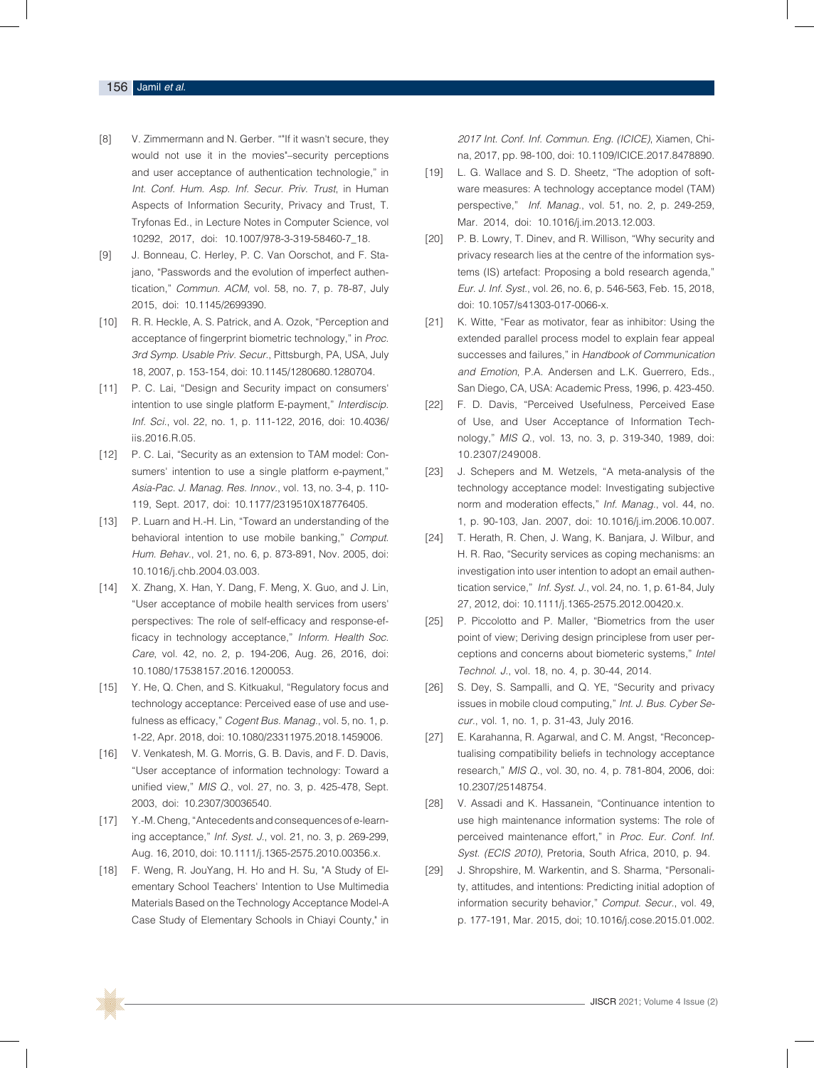#### 156 Jamil *et al*.

- [8] V. Zimmermann and N. Gerber. ""If it wasn't secure, they would not use it in the movies"–security perceptions and user acceptance of authentication technologie," in Int. Conf. Hum. Asp. Inf. Secur. Priv. Trust, in Human Aspects of Information Security, Privacy and Trust, T. Tryfonas Ed., in Lecture Notes in Computer Science, vol 10292, 2017, doi: 10.1007/978-3-319-58460-7\_18.
- [9] J. Bonneau, C. Herley, P. C. Van Oorschot, and F. Stajano, "Passwords and the evolution of imperfect authentication," *Commun. ACM*, vol. 58, no. 7, p. 78-87, July 2015, doi: 10.1145/2699390.
- [10] R. R. Heckle, A. S. Patrick, and A. Ozok, "Perception and acceptance of fingerprint biometric technology," in Proc. 3rd Symp. Usable Priv. Secur., Pittsburgh, PA, USA, July 18, 2007, p. 153-154, doi: 10.1145/1280680.1280704.
- [11] P. C. Lai, "Design and Security impact on consumers' intention to use single platform E-payment," *Interdiscip. Inf. Sci.*, vol. 22, no. 1, p. 111-122, 2016, doi: 10.4036/ iis.2016.R.05.
- [12] P. C. Lai, "Security as an extension to TAM model: Consumers' intention to use a single platform e-payment," Asia-Pac. J. Manag. Res. Innov., vol. 13, no. 3-4, p. 110- 119, Sept. 2017, doi: 10.1177/2319510X18776405.
- [13] P. Luarn and H.-H. Lin, "Toward an understanding of the behavioral intention to use mobile banking," *Comput.*  Hum. Behav., vol. 21, no. 6, p. 873-891, Nov. 2005, doi: 10.1016/j.chb.2004.03.003.
- [14] X. Zhang, X. Han, Y. Dang, F. Meng, X. Guo, and J. Lin, "User acceptance of mobile health services from users' perspectives: The role of self-efficacy and response-efficacy in technology acceptance," Inform. Health Soc. *Care*, vol. 42, no. 2, p. 194-206, Aug. 26, 2016, doi: 10.1080/17538157.2016.1200053.
- [15] Y. He, Q. Chen, and S. Kitkuakul, "Regulatory focus and technology acceptance: Perceived ease of use and usefulness as efficacy," *Cogent Bus. Manag.*, vol. 5, no. 1, p. 1-22, Apr. 2018, doi: 10.1080/23311975.2018.1459006.
- [16] V. Venkatesh, M. G. Morris, G. B. Davis, and F. D. Davis, "User acceptance of information technology: Toward a unified view," *MIS Q.*, vol. 27, no. 3, p. 425-478, Sept. 2003, doi: 10.2307/30036540.
- [17] Y.-M. Cheng, "Antecedents and consequences of e-learning acceptance," *Inf. Syst. J.*, vol. 21, no. 3, p. 269-299, Aug. 16, 2010, doi: 10.1111/j.1365-2575.2010.00356.x.
- [18] F. Weng, R. JouYang, H. Ho and H. Su, "A Study of Elementary School Teachers' Intention to Use Multimedia Materials Based on the Technology Acceptance Model-A Case Study of Elementary Schools in Chiayi County," in

*2017 Int. Conf. Inf. Commun. Eng. (ICICE)*, Xiamen, China, 2017, pp. 98-100, doi: 10.1109/ICICE.2017.8478890.

- [19] L. G. Wallace and S. D. Sheetz, "The adoption of software measures: A technology acceptance model (TAM) perspective," *Inf. Manag.*, vol. 51, no. 2, p. 249-259, Mar. 2014, doi: 10.1016/j.im.2013.12.003.
- [20] P. B. Lowry, T. Diney, and R. Willison, "Why security and privacy research lies at the centre of the information systems (IS) artefact: Proposing a bold research agenda," *Eur. J. Inf. Syst.*, vol. 26, no. 6, p. 546-563, Feb. 15, 2018, doi: 10.1057/s41303-017-0066-x.
- [21] K. Witte, "Fear as motivator, fear as inhibitor: Using the extended parallel process model to explain fear appeal successes and failures," in Handbook of Communication *and Emotion*, P.A. Andersen and L.K. Guerrero, Eds., San Diego, CA, USA: Academic Press, 1996, p. 423-450.
- [22] F. D. Davis, "Perceived Usefulness, Perceived Ease of Use, and User Acceptance of Information Technology," *MIS Q.*, vol. 13, no. 3, p. 319-340, 1989, doi: 10.2307/249008.
- [23] J. Schepers and M. Wetzels, "A meta-analysis of the technology acceptance model: Investigating subjective norm and moderation effects," *Inf. Manag.*, vol. 44, no. 1, p. 90-103, Jan. 2007, doi: 10.1016/j.im.2006.10.007.
- [24] T. Herath, R. Chen, J. Wang, K. Banjara, J. Wilbur, and H. R. Rao, "Security services as coping mechanisms: an investigation into user intention to adopt an email authentication service," *Inf. Syst. J.*, vol. 24, no. 1, p. 61-84, July 27, 2012, doi: 10.1111/j.1365-2575.2012.00420.x.
- [25] P. Piccolotto and P. Maller, "Biometrics from the user point of view; Deriving design principlese from user perceptions and concerns about biometeric systems," *Intel*  Technol. J., vol. 18, no. 4, p. 30-44, 2014.
- [26] S. Dey, S. Sampalli, and Q. YE, "Security and privacy issues in mobile cloud computing," Int. J. Bus. Cyber Se*cur.*, vol. 1, no. 1, p. 31-43, July 2016.
- [27] E. Karahanna, R. Agarwal, and C. M. Angst, "Reconceptualising compatibility beliefs in technology acceptance research," *MIS Q.*, vol. 30, no. 4, p. 781-804, 2006, doi: 10.2307/25148754.
- [28] V. Assadi and K. Hassanein, "Continuance intention to use high maintenance information systems: The role of perceived maintenance effort," in Proc. Eur. Conf. Inf. *Syst. (ECIS 2010)*, Pretoria, South Africa, 2010, p. 94.
- [29] J. Shropshire, M. Warkentin, and S. Sharma, "Personality, attitudes, and intentions: Predicting initial adoption of information security behavior," *Comput. Secur.*, vol. 49, p. 177-191, Mar. 2015, doi; 10.1016/j.cose.2015.01.002.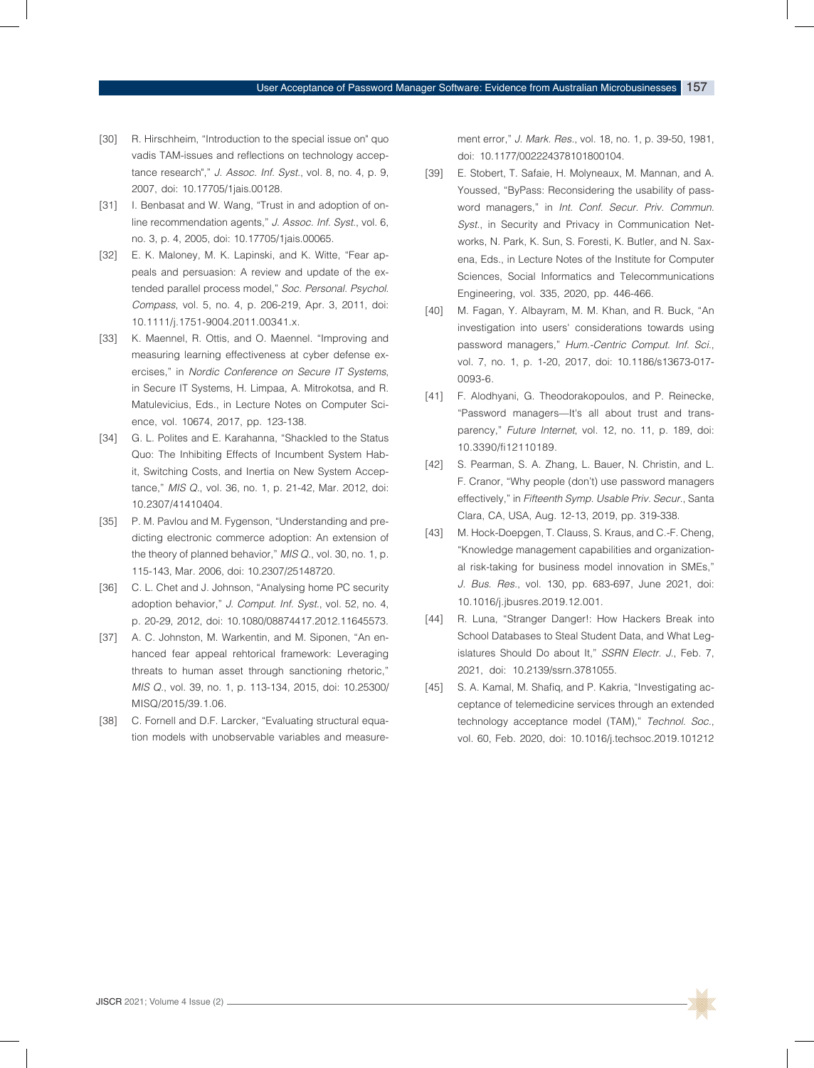- [30] R. Hirschheim, "Introduction to the special issue on" quo vadis TAM-issues and reflections on technology acceptance research"," *J. Assoc. Inf. Syst.*, vol. 8, no. 4, p. 9, 2007, doi: 10.17705/1jais.00128.
- [31] I. Benbasat and W. Wang, "Trust in and adoption of online recommendation agents," *J. Assoc. Inf. Syst.*, vol. 6, no. 3, p. 4, 2005, doi: 10.17705/1jais.00065.
- [32] E. K. Maloney, M. K. Lapinski, and K. Witte, "Fear appeals and persuasion: A review and update of the extended parallel process model," Soc. Personal. Psychol. *Compass*, vol. 5, no. 4, p. 206-219, Apr. 3, 2011, doi: 10.1111/j.1751-9004.2011.00341.x.
- [33] K. Maennel, R. Ottis, and O. Maennel. "Improving and measuring learning effectiveness at cyber defense exercises," in *Nordic Conference on Secure IT Systems*, in Secure IT Systems, H. Limpaa, A. Mitrokotsa, and R. Matulevicius, Eds., in Lecture Notes on Computer Science, vol. 10674, 2017, pp. 123-138.
- [34] G. L. Polites and E. Karahanna, "Shackled to the Status Quo: The Inhibiting Effects of Incumbent System Habit, Switching Costs, and Inertia on New System Acceptance," *MIS Q.*, vol. 36, no. 1, p. 21-42, Mar. 2012, doi: 10.2307/41410404.
- [35] P. M. Pavlou and M. Fygenson, "Understanding and predicting electronic commerce adoption: An extension of the theory of planned behavior," *MIS Q.*, vol. 30, no. 1, p. 115-143, Mar. 2006, doi: 10.2307/25148720.
- [36] C. L. Chet and J. Johnson, "Analysing home PC security adoption behavior," *J. Comput. Inf. Syst.*, vol. 52, no. 4, p. 20-29, 2012, doi: 10.1080/08874417.2012.11645573.
- [37] A. C. Johnston, M. Warkentin, and M. Siponen, "An enhanced fear appeal rehtorical framework: Leveraging threats to human asset through sanctioning rhetoric," *MIS Q.*, vol. 39, no. 1, p. 113-134, 2015, doi: 10.25300/ MISQ/2015/39.1.06.
- [38] C. Fornell and D.F. Larcker, "Evaluating structural equation models with unobservable variables and measure-

ment error," J. Mark. Res., vol. 18, no. 1, p. 39-50, 1981, doi: 10.1177/002224378101800104.

- [39] E. Stobert, T. Safaie, H. Molyneaux, M. Mannan, and A. Youssed, "ByPass: Reconsidering the usability of password managers," in Int. Conf. Secur. Priv. Commun. *Syst.*, in Security and Privacy in Communication Networks, N. Park, K. Sun, S. Foresti, K. Butler, and N. Saxena, Eds., in Lecture Notes of the Institute for Computer Sciences, Social Informatics and Telecommunications Engineering, vol. 335, 2020, pp. 446-466.
- [40] M. Fagan, Y. Albayram, M. M. Khan, and R. Buck, "An investigation into users' considerations towards using password managers," *Hum.-Centric Comput. Inf. Sci.*, vol. 7, no. 1, p. 1-20, 2017, doi: 10.1186/s13673-017- 0093-6.
- [41] F. Alodhyani, G. Theodorakopoulos, and P. Reinecke, "Password managers—It's all about trust and transparency," *Future Internet*, vol. 12, no. 11, p. 189, doi: 10.3390/fi12110189.
- [42] S. Pearman, S. A. Zhang, L. Bauer, N. Christin, and L. F. Cranor, "Why people (don't) use password managers effectively," in Fifteenth Symp. Usable Priv. Secur., Santa Clara, CA, USA, Aug. 12-13, 2019, pp. 319-338.
- [43] M. Hock-Doepgen, T. Clauss, S. Kraus, and C.-F. Cheng, "Knowledge management capabilities and organizational risk-taking for business model innovation in SMEs," *J. Bus. Res.*, vol. 130, pp. 683-697, June 2021, doi: 10.1016/j.jbusres.2019.12.001.
- [44] R. Luna, "Stranger Danger!: How Hackers Break into School Databases to Steal Student Data, and What Legislatures Should Do about It," *SSRN Electr. J.*, Feb. 7, 2021, doi: 10.2139/ssrn.3781055.
- [45] S. A. Kamal, M. Shafiq, and P. Kakria, "Investigating acceptance of telemedicine services through an extended technology acceptance model (TAM)," Technol. Soc., vol. 60, Feb. 2020, doi: 10.1016/j.techsoc.2019.101212